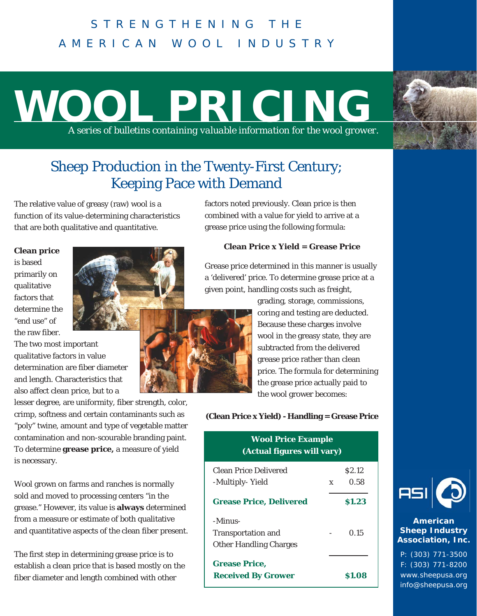# STRENGTHENING THE AMERICAN WOOL INDUSTRY

# **WOOL PRICING** *A series of bulletins containing valuable information for the wool grower.*

## Sheep Production in the Twenty-First Century; Keeping Pace with Demand

The relative value of greasy (raw) wool is a function of its value-determining characteristics that are both qualitative and quantitative.

**Clean price** is based primarily on qualitative factors that determine the "end use" of the raw fiber.

The two most important qualitative factors in value determination are fiber diameter and length. Characteristics that also affect clean price, but to a

lesser degree, are uniformity, fiber strength, color, crimp, softness and certain contaminants such as "poly" twine, amount and type of vegetable matter contamination and non-scourable branding paint. To determine **grease price,** a measure of yield is necessary.

Wool grown on farms and ranches is normally sold and moved to processing centers "in the grease." However, its value is **always** determined from a measure or estimate of both qualitative and quantitative aspects of the clean fiber present.

The first step in determining grease price is to establish a clean price that is based mostly on the fiber diameter and length combined with other

factors noted previously. Clean price is then combined with a value for yield to arrive at a grease price using the following formula:

## **Clean Price x Yield = Grease Price**

Grease price determined in this manner is usually a 'delivered' price. To determine grease price at a given point, handling costs such as freight,

grading, storage, commissions, coring and testing are deducted. Because these charges involve wool in the greasy state, they are subtracted from the delivered grease price rather than clean price. The formula for determining the grease price actually paid to the wool grower becomes:

### **(Clean Price x Yield) - Handling = Grease Price**

| <b>Wool Price Example</b>  |
|----------------------------|
| (Actual figures will vary) |

| <b>Clean Price Delivered</b>   |   | S <sub>2.12</sub> |
|--------------------------------|---|-------------------|
| -Multiply-Yield                | X | 0.58              |
| <b>Grease Price, Delivered</b> |   | \$1.23            |
| -Minus-                        |   |                   |
| <b>Transportation and</b>      |   | 0.15              |
| <b>Other Handling Charges</b>  |   |                   |
| <b>Grease Price,</b>           |   |                   |
| <b>Received By Grower</b>      |   | <b>S1.08</b>      |



### **American Sheep Industry Association, Inc.**

P: (303) 771-3500 F: (303) 771-8200 www.sheepusa.org info@sheepusa.org